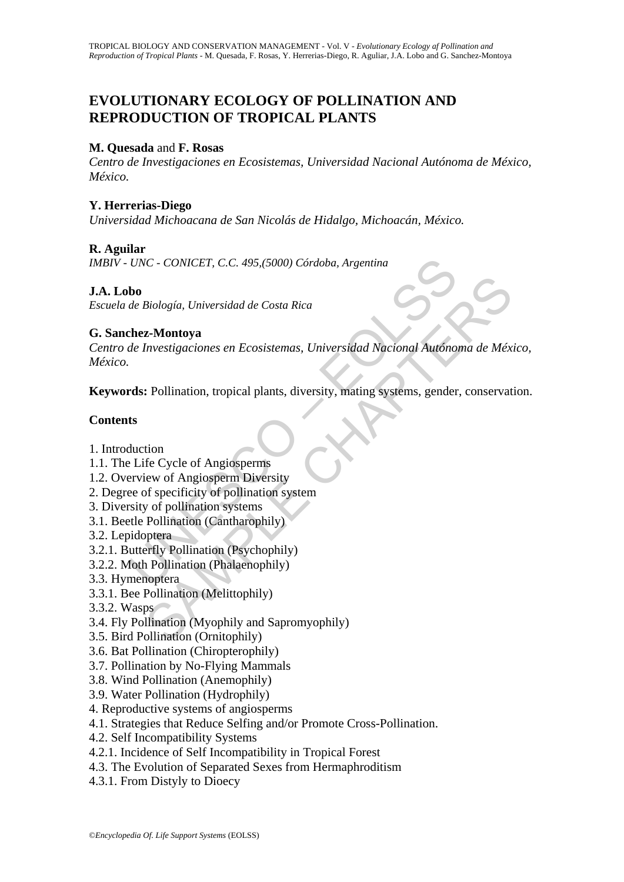## **EVOLUTIONARY ECOLOGY OF POLLINATION AND REPRODUCTION OF TROPICAL PLANTS**

#### **M. Quesada** and **F. Rosas**

*Centro de Investigaciones en Ecosistemas, Universidad Nacional Autónoma de México, México.* 

#### **Y. Herrerias-Diego**

*Universidad Michoacana de San Nicolás de Hidalgo, Michoacán, México.* 

#### **R. Aguilar**

*IMBIV - UNC - CONICET, C.C. 495,(5000) Córdoba, Argentina*

#### **J.A. Lobo**

*Escuela de Biología, Universidad de Costa Rica* 

#### **G. Sanchez-Montoya**

UNC - CONICET, C.C. 495,(5000) Córdoba, Argentina<br>
bo<br>
de Biología, Universidad de Costa Rica<br>
chez-Montoya<br>
de Investigaciones en Ecosistemas, Universidad Nacional Autóno<br>
rds: Pollination, tropical plants, diversity, mat Biología, Universidad de Costa Rica<br> **z-Montoya**<br>
Investigaciones en Ecosistemas, Universidad Nacional Autónoma de Méx<br>
: Pollination, tropical plants, diversity, mating systems, gender, conservat<br>
tion<br>
fe Cycle of Angios *Centro de Investigaciones en Ecosistemas, Universidad Nacional Autónoma de México, México.* 

**Keywords:** Pollination, tropical plants, diversity, mating systems, gender, conservation.

#### **Contents**

- 1. Introduction
- 1.1. The Life Cycle of Angiosperms
- 1.2. Overview of Angiosperm Diversity
- 2. Degree of specificity of pollination system
- 3. Diversity of pollination systems
- 3.1. Beetle Pollination (Cantharophily)
- 3.2. Lepidoptera
- 3.2.1. Butterfly Pollination (Psychophily)
- 3.2.2. Moth Pollination (Phalaenophily)
- 3.3. Hymenoptera
- 3.3.1. Bee Pollination (Melittophily)
- 3.3.2. Wasps
- 3.4. Fly Pollination (Myophily and Sapromyophily)
- 3.5. Bird Pollination (Ornitophily)
- 3.6. Bat Pollination (Chiropterophily)
- 3.7. Pollination by No-Flying Mammals
- 3.8. Wind Pollination (Anemophily)
- 3.9. Water Pollination (Hydrophily)
- 4. Reproductive systems of angiosperms
- 4.1. Strategies that Reduce Selfing and/or Promote Cross-Pollination.
- 4.2. Self Incompatibility Systems
- 4.2.1. Incidence of Self Incompatibility in Tropical Forest
- 4.3. The Evolution of Separated Sexes from Hermaphroditism
- 4.3.1. From Distyly to Dioecy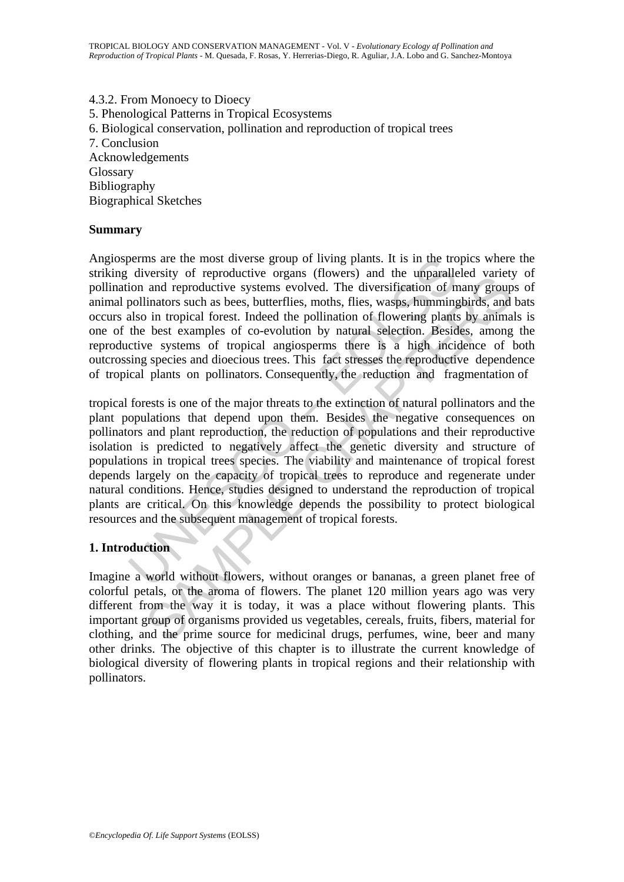4.3.2. From Monoecy to Dioecy 5. Phenological Patterns in Tropical Ecosystems 6. Biological conservation, pollination and reproduction of tropical trees 7. Conclusion Acknowledgements Glossary Bibliography Biographical Sketches

#### **Summary**

Angiosperms are the most diverse group of living plants. It is in the tropics where the striking diversity of reproductive organs (flowers) and the unparalleled variety of pollination and reproductive systems evolved. The diversification of many groups of animal pollinators such as bees, butterflies, moths, flies, wasps, hummingbirds, and bats occurs also in tropical forest. Indeed the pollination of flowering plants by animals is one of the best examples of co-evolution by natural selection. Besides, among the reproductive systems of tropical angiosperms there is a high incidence of both outcrossing species and dioecious trees. This fact stresses the reproductive dependence of tropical plants on pollinators. Consequently, the reduction and fragmentation of

berns are the most diverse group of living plants. It is in the tro-<br>diversity of reproductive organs (flowers) and the unparalled<br>ion and reproductive systems evolved. The diversification of no<br>pollinators such as bees, b versive of repotator or equals (towers) and the unparacted vartety<br>and reproductive systems evolved. The diversification of many group<br>linators such as bees, butterflies, moths, flies, wasps, hummingbirds, and<br>in tropical tropical forests is one of the major threats to the extinction of natural pollinators and the plant populations that depend upon them. Besides the negative consequences on pollinators and plant reproduction, the reduction of populations and their reproductive isolation is predicted to negatively affect the genetic diversity and structure of populations in tropical trees species. The viability and maintenance of tropical forest depends largely on the capacity of tropical trees to reproduce and regenerate under natural conditions. Hence, studies designed to understand the reproduction of tropical plants are critical. On this knowledge depends the possibility to protect biological resources and the subsequent management of tropical forests.

# **1. Introduction**

Imagine a world without flowers, without oranges or bananas, a green planet free of colorful petals, or the aroma of flowers. The planet 120 million years ago was very different from the way it is today, it was a place without flowering plants. This important group of organisms provided us vegetables, cereals, fruits, fibers, material for clothing, and the prime source for medicinal drugs, perfumes, wine, beer and many other drinks. The objective of this chapter is to illustrate the current knowledge of biological diversity of flowering plants in tropical regions and their relationship with pollinators.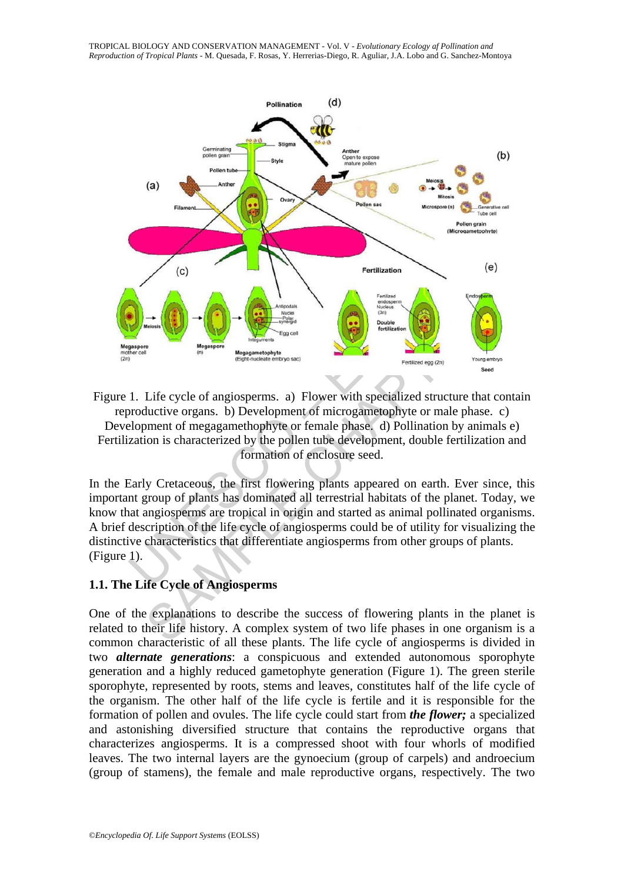

Figure 1. Life cycle of angiosperms. a) Flower with specialized structure that contain reproductive organs. b) Development of microgametophyte or male phase. c) Development of megagamethophyte or female phase. d) Pollination by animals e) Fertilization is characterized by the pollen tube development, double fertilization and formation of enclosure seed.

In the Early Cretaceous, the first flowering plants appeared on earth. Ever since, this important group of plants has dominated all terrestrial habitats of the planet. Today, we know that angiosperms are tropical in origin and started as animal pollinated organisms. A brief description of the life cycle of angiosperms could be of utility for visualizing the distinctive characteristics that differentiate angiosperms from other groups of plants. (Figure 1).

#### **1.1. The Life Cycle of Angiosperms**

One of the explanations to describe the success of flowering plants in the planet is related to their life history. A complex system of two life phases in one organism is a common characteristic of all these plants. The life cycle of angiosperms is divided in two *alternate generations*: a conspicuous and extended autonomous sporophyte generation and a highly reduced gametophyte generation (Figure 1). The green sterile sporophyte, represented by roots, stems and leaves, constitutes half of the life cycle of the organism. The other half of the life cycle is fertile and it is responsible for the formation of pollen and ovules. The life cycle could start from *the flower;* a specialized and astonishing diversified structure that contains the reproductive organs that characterizes angiosperms. It is a compressed shoot with four whorls of modified leaves. The two internal layers are the gynoecium (group of carpels) and androecium (group of stamens), the female and male reproductive organs, respectively. The two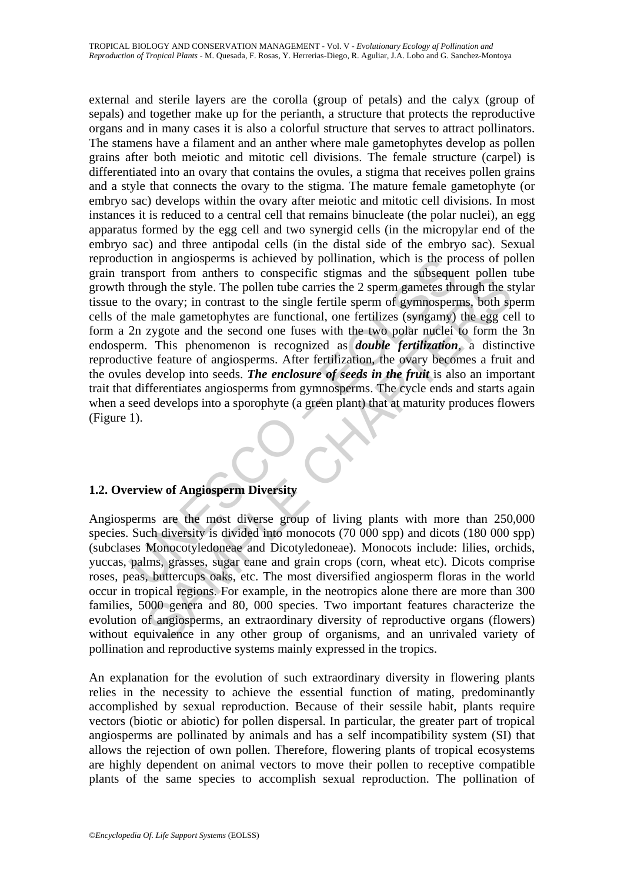channel manuscherms is achieved by pollination, which is the praneary<br>ansport from anthers to conspecific stigmas and the subseque<br>through the style. The pollen tube carries the 2 sperm gametes the<br>order of the ovary; in c pour non amiens to conspect to suggestine buyed the style and the susselect point<br>pough the style. The pollen tube carries the 2 sperm gametes through the style. The pollen tube carries the 2 sperm gametes through the sign external and sterile layers are the corolla (group of petals) and the calyx (group of sepals) and together make up for the perianth, a structure that protects the reproductive organs and in many cases it is also a colorful structure that serves to attract pollinators. The stamens have a filament and an anther where male gametophytes develop as pollen grains after both meiotic and mitotic cell divisions. The female structure (carpel) is differentiated into an ovary that contains the ovules, a stigma that receives pollen grains and a style that connects the ovary to the stigma. The mature female gametophyte (or embryo sac) develops within the ovary after meiotic and mitotic cell divisions. In most instances it is reduced to a central cell that remains binucleate (the polar nuclei), an egg apparatus formed by the egg cell and two synergid cells (in the micropylar end of the embryo sac) and three antipodal cells (in the distal side of the embryo sac). Sexual reproduction in angiosperms is achieved by pollination, which is the process of pollen grain transport from anthers to conspecific stigmas and the subsequent pollen tube growth through the style. The pollen tube carries the 2 sperm gametes through the stylar tissue to the ovary; in contrast to the single fertile sperm of gymnosperms, both sperm cells of the male gametophytes are functional, one fertilizes (syngamy) the egg cell to form a 2n zygote and the second one fuses with the two polar nuclei to form the 3n endosperm. This phenomenon is recognized as *double fertilization*, a distinctive reproductive feature of angiosperms. After fertilization, the ovary becomes a fruit and the ovules develop into seeds. *The enclosure of seeds in the fruit* is also an important trait that differentiates angiosperms from gymnosperms. The cycle ends and starts again when a seed develops into a sporophyte (a green plant) that at maturity produces flowers (Figure 1).

#### **1.2. Overview of Angiosperm Diversity**

Angiosperms are the most diverse group of living plants with more than 250,000 species. Such diversity is divided into monocots (70 000 spp) and dicots (180 000 spp) (subclases Monocotyledoneae and Dicotyledoneae). Monocots include: lilies, orchids, yuccas, palms, grasses, sugar cane and grain crops (corn, wheat etc). Dicots comprise roses, peas, buttercups oaks, etc. The most diversified angiosperm floras in the world occur in tropical regions. For example, in the neotropics alone there are more than 300 families, 5000 genera and 80, 000 species. Two important features characterize the evolution of angiosperms, an extraordinary diversity of reproductive organs (flowers) without equivalence in any other group of organisms, and an unrivaled variety of pollination and reproductive systems mainly expressed in the tropics.

An explanation for the evolution of such extraordinary diversity in flowering plants relies in the necessity to achieve the essential function of mating, predominantly accomplished by sexual reproduction. Because of their sessile habit, plants require vectors (biotic or abiotic) for pollen dispersal. In particular, the greater part of tropical angiosperms are pollinated by animals and has a self incompatibility system (SI) that allows the rejection of own pollen. Therefore, flowering plants of tropical ecosystems are highly dependent on animal vectors to move their pollen to receptive compatible plants of the same species to accomplish sexual reproduction. The pollination of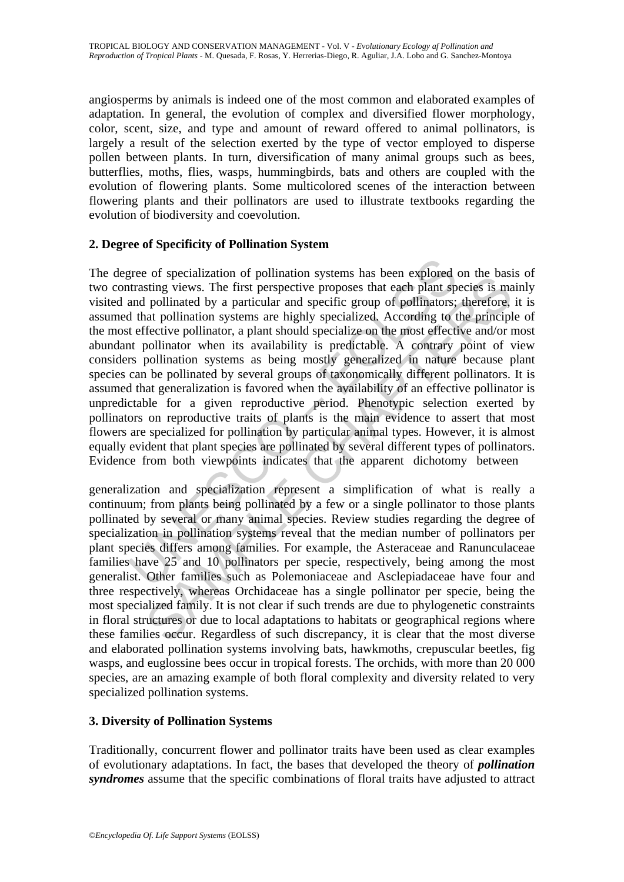angiosperms by animals is indeed one of the most common and elaborated examples of adaptation. In general, the evolution of complex and diversified flower morphology, color, scent, size, and type and amount of reward offered to animal pollinators, is largely a result of the selection exerted by the type of vector employed to disperse pollen between plants. In turn, diversification of many animal groups such as bees, butterflies, moths, flies, wasps, hummingbirds, bats and others are coupled with the evolution of flowering plants. Some multicolored scenes of the interaction between flowering plants and their pollinators are used to illustrate textbooks regarding the evolution of biodiversity and coevolution.

#### **2. Degree of Specificity of Pollination System**

gree of specialization of pollination systems has been explored thrasting views. The first perspective proposes that each plant sp and pollinated by a particular and specialized. According to the ffective pollinator, a pla For exactization of ponitional systemis has been explored on the osser<br>sting views. The first perspective proposes that each plant species is made polinated by a particular and specific group of pollinators; therefore, at The degree of specialization of pollination systems has been explored on the basis of two contrasting views. The first perspective proposes that each plant species is mainly visited and pollinated by a particular and specific group of pollinators; therefore, it is assumed that pollination systems are highly specialized. According to the principle of the most effective pollinator, a plant should specialize on the most effective and/or most abundant pollinator when its availability is predictable. A contrary point of view considers pollination systems as being mostly generalized in nature because plant species can be pollinated by several groups of taxonomically different pollinators. It is assumed that generalization is favored when the availability of an effective pollinator is unpredictable for a given reproductive period. Phenotypic selection exerted by pollinators on reproductive traits of plants is the main evidence to assert that most flowers are specialized for pollination by particular animal types. However, it is almost equally evident that plant species are pollinated by several different types of pollinators. Evidence from both viewpoints indicates that the apparent dichotomy between

generalization and specialization represent a simplification of what is really a continuum; from plants being pollinated by a few or a single pollinator to those plants pollinated by several or many animal species. Review studies regarding the degree of specialization in pollination systems reveal that the median number of pollinators per plant species differs among families. For example, the Asteraceae and Ranunculaceae families have 25 and 10 pollinators per specie, respectively, being among the most generalist. Other families such as Polemoniaceae and Asclepiadaceae have four and three respectively, whereas Orchidaceae has a single pollinator per specie, being the most specialized family. It is not clear if such trends are due to phylogenetic constraints in floral structures or due to local adaptations to habitats or geographical regions where these families occur. Regardless of such discrepancy, it is clear that the most diverse and elaborated pollination systems involving bats, hawkmoths, crepuscular beetles, fig wasps, and euglossine bees occur in tropical forests. The orchids, with more than 20 000 species, are an amazing example of both floral complexity and diversity related to very specialized pollination systems.

#### **3. Diversity of Pollination Systems**

Traditionally, concurrent flower and pollinator traits have been used as clear examples of evolutionary adaptations. In fact, the bases that developed the theory of *pollination syndromes* assume that the specific combinations of floral traits have adjusted to attract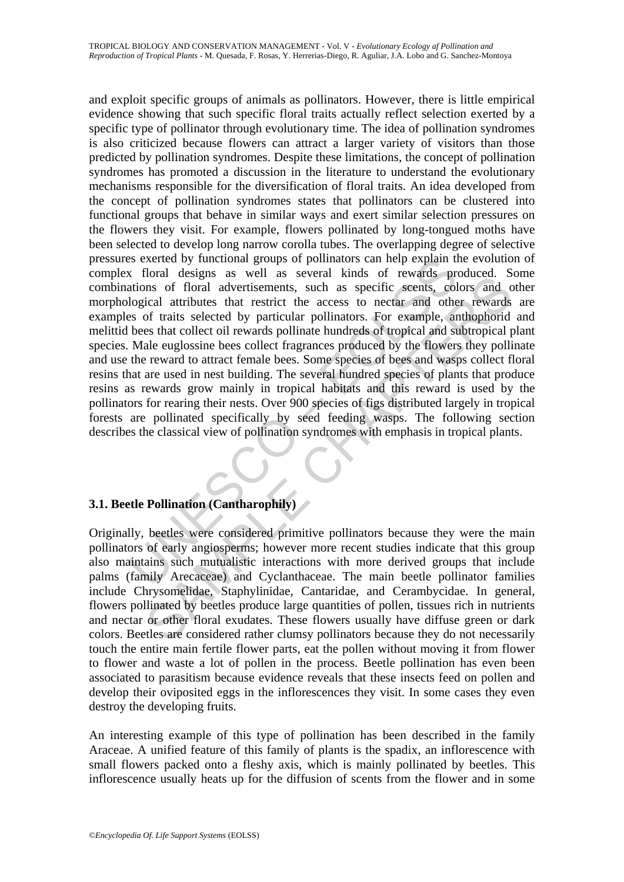is exerted by functional groups of pollinators can help explain the storead kinds of rewards provades are well as several kinds of rewards productions of foral advertisements, such as specific seents, cological attributes Total and any solution and a several knows of rewards bounder. Some the same of floral advertisements, such as specific seents, colors and c<br>ical attributes that restrict the access to nectar and other rewards<br>of traits se and exploit specific groups of animals as pollinators. However, there is little empirical evidence showing that such specific floral traits actually reflect selection exerted by a specific type of pollinator through evolutionary time. The idea of pollination syndromes is also criticized because flowers can attract a larger variety of visitors than those predicted by pollination syndromes. Despite these limitations, the concept of pollination syndromes has promoted a discussion in the literature to understand the evolutionary mechanisms responsible for the diversification of floral traits. An idea developed from the concept of pollination syndromes states that pollinators can be clustered into functional groups that behave in similar ways and exert similar selection pressures on the flowers they visit. For example, flowers pollinated by long-tongued moths have been selected to develop long narrow corolla tubes. The overlapping degree of selective pressures exerted by functional groups of pollinators can help explain the evolution of complex floral designs as well as several kinds of rewards produced. Some combinations of floral advertisements, such as specific scents, colors and other morphological attributes that restrict the access to nectar and other rewards are examples of traits selected by particular pollinators. For example, anthophorid and melittid bees that collect oil rewards pollinate hundreds of tropical and subtropical plant species. Male euglossine bees collect fragrances produced by the flowers they pollinate and use the reward to attract female bees. Some species of bees and wasps collect floral resins that are used in nest building. The several hundred species of plants that produce resins as rewards grow mainly in tropical habitats and this reward is used by the pollinators for rearing their nests. Over 900 species of figs distributed largely in tropical forests are pollinated specifically by seed feeding wasps. The following section describes the classical view of pollination syndromes with emphasis in tropical plants.

#### **3.1. Beetle Pollination (Cantharophily)**

Originally, beetles were considered primitive pollinators because they were the main pollinators of early angiosperms; however more recent studies indicate that this group also maintains such mutualistic interactions with more derived groups that include palms (family Arecaceae) and Cyclanthaceae. The main beetle pollinator families include Chrysomelidae, Staphylinidae, Cantaridae, and Cerambycidae. In general, flowers pollinated by beetles produce large quantities of pollen, tissues rich in nutrients and nectar or other floral exudates. These flowers usually have diffuse green or dark colors. Beetles are considered rather clumsy pollinators because they do not necessarily touch the entire main fertile flower parts, eat the pollen without moving it from flower to flower and waste a lot of pollen in the process. Beetle pollination has even been associated to parasitism because evidence reveals that these insects feed on pollen and develop their oviposited eggs in the inflorescences they visit. In some cases they even destroy the developing fruits.

An interesting example of this type of pollination has been described in the family Araceae. A unified feature of this family of plants is the spadix, an inflorescence with small flowers packed onto a fleshy axis, which is mainly pollinated by beetles. This inflorescence usually heats up for the diffusion of scents from the flower and in some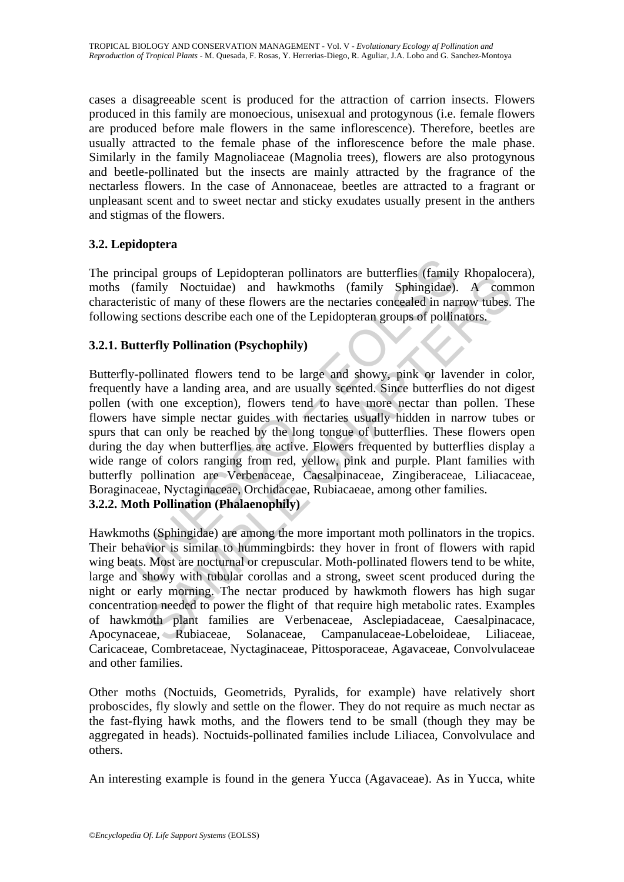cases a disagreeable scent is produced for the attraction of carrion insects. Flowers produced in this family are monoecious, unisexual and protogynous (i.e. female flowers are produced before male flowers in the same inflorescence). Therefore, beetles are usually attracted to the female phase of the inflorescence before the male phase. Similarly in the family Magnoliaceae (Magnolia trees), flowers are also protogynous and beetle-pollinated but the insects are mainly attracted by the fragrance of the nectarless flowers. In the case of Annonaceae, beetles are attracted to a fragrant or unpleasant scent and to sweet nectar and sticky exudates usually present in the anthers and stigmas of the flowers.

## **3.2. Lepidoptera**

The principal groups of Lepidopteran pollinators are butterflies (family Rhopalocera), moths (family Noctuidae) and hawkmoths (family Sphingidae). A common characteristic of many of these flowers are the nectaries concealed in narrow tubes. The following sections describe each one of the Lepidopteran groups of pollinators.

## **3.2.1. Butterfly Pollination (Psychophily)**

ncipal groups of Lepidopteran pollinators are butterflies (family (family Moctuidae) and hawkmoths (family Sphingidae).<br>
eristic of many of these flowers are the nectaries concealed in nar<br>
arg sections describe each one o Margotops or Leptonperata pontinuations are outertimes (aranny Knoparotom pontinumity Noctuidae) and hawkmoths (family Sphingidae). A common the of many of these flowers are the nectaries concealed in narrow tubes.<br>Section Butterfly-pollinated flowers tend to be large and showy, pink or lavender in color, frequently have a landing area, and are usually scented. Since butterflies do not digest pollen (with one exception), flowers tend to have more nectar than pollen. These flowers have simple nectar guides with nectaries usually hidden in narrow tubes or spurs that can only be reached by the long tongue of butterflies. These flowers open during the day when butterflies are active. Flowers frequented by butterflies display a wide range of colors ranging from red, yellow, pink and purple. Plant families with butterfly pollination are Verbenaceae, Caesalpinaceae, Zingiberaceae, Liliacaceae, Boraginaceae, Nyctaginaceae, Orchidaceae, Rubiacaeae, among other families. **3.2.2. Moth Pollination (Phalaenophily)** 

Hawkmoths (Sphingidae) are among the more important moth pollinators in the tropics. Their behavior is similar to hummingbirds: they hover in front of flowers with rapid wing beats. Most are nocturnal or crepuscular. Moth-pollinated flowers tend to be white, large and showy with tubular corollas and a strong, sweet scent produced during the night or early morning. The nectar produced by hawkmoth flowers has high sugar concentration needed to power the flight of that require high metabolic rates. Examples of hawkmoth plant families are Verbenaceae, Asclepiadaceae, Caesalpinacace, Apocynaceae, Rubiaceae, Solanaceae, Campanulaceae-Lobeloideae, Liliaceae, Caricaceae, Combretaceae, Nyctaginaceae, Pittosporaceae, Agavaceae, Convolvulaceae and other families.

Other moths (Noctuids, Geometrids, Pyralids, for example) have relatively short proboscides, fly slowly and settle on the flower. They do not require as much nectar as the fast-flying hawk moths, and the flowers tend to be small (though they may be aggregated in heads). Noctuids-pollinated families include Liliacea, Convolvulace and others.

An interesting example is found in the genera Yucca (Agavaceae). As in Yucca, white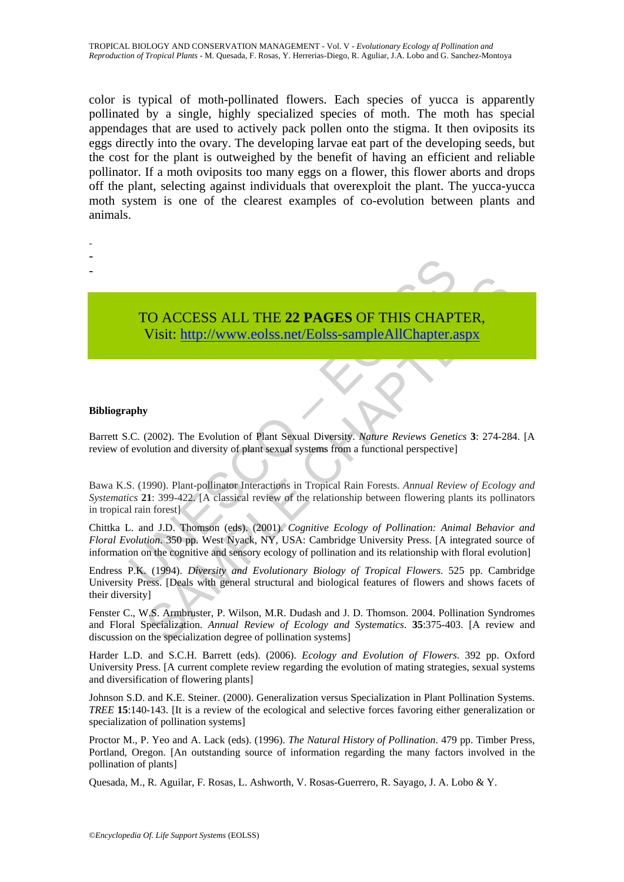color is typical of moth-pollinated flowers. Each species of yucca is apparently pollinated by a single, highly specialized species of moth. The moth has special appendages that are used to actively pack pollen onto the stigma. It then oviposits its eggs directly into the ovary. The developing larvae eat part of the developing seeds, but the cost for the plant is outweighed by the benefit of having an efficient and reliable pollinator. If a moth oviposits too many eggs on a flower, this flower aborts and drops off the plant, selecting against individuals that overexploit the plant. The yucca-yucca moth system is one of the clearest examples of co-evolution between plants and animals.

- -
- -
- -
- 

TO ACCESS ALL THE **22 PAGES** OF THIS CHAPTER, Visit: http://www.eolss.net/Eolss-sampleAllChapter.aspx

#### **Bibliography**

Barrett S.C. (2002). The Evolution of Plant Sexual Diversity. *Nature Reviews Genetics* **3**: 274-284. [A review of evolution and diversity of plant sexual systems from a functional perspective]

TO ACCESS ALL THE 22 PAGES OF THIS CHAPT<br>Visit: http://www.eolss.net/Eolss-sampleAllChapter.a<br>phy<br>C. (2002). The Evolution of Plant Sexual Diversity. Nature Reviews Genetic<br>evolution and diversity of plant sexual systems f Bawa K.S. (1990). Plant-pollinator Interactions in Tropical Rain Forests. *Annual Review of Ecology and Systematics* **21**: 399-422. [A classical review of the relationship between flowering plants its pollinators in tropical rain forest]

Chittka L. and J.D. Thomson (eds). (2001). *Cognitive Ecology of Pollination: Animal Behavior and Floral Evolution*. 350 pp. West Nyack, NY, USA: Cambridge University Press. [A integrated source of information on the cognitive and sensory ecology of pollination and its relationship with floral evolution]

**CO ACCESS ALL THE 22 PAGES OF THIS CHAP[TER](https://www.eolss.net/ebooklib/sc_cart.aspx?File=E6-142-TE-14),**<br>
Visit: http://www.eolss.net/Eolss-sampleAllChapter.aspx<br>
(2002). The Evolution of Plant Sexual Diversity. *Naure Reviews Genetics* 3: 274-28-<br>
990). Plant-pollinator Interacti Endress P.K. (1994). *Diversity and Evolutionary Biology of Tropical Flowers*. 525 pp. Cambridge University Press. [Deals with general structural and biological features of flowers and shows facets of their diversity]

Fenster C., W.S. Armbruster, P. Wilson, M.R. Dudash and J. D. Thomson. 2004. Pollination Syndromes and Floral Specialization. *Annual Review of Ecology and Systematics*. **35**:375-403. [A review and discussion on the specialization degree of pollination systems]

Harder L.D. and S.C.H. Barrett (eds). (2006). *Ecology and Evolution of Flowers*. 392 pp. Oxford University Press. [A current complete review regarding the evolution of mating strategies, sexual systems and diversification of flowering plants]

Johnson S.D. and K.E. Steiner. (2000). Generalization versus Specialization in Plant Pollination Systems. *TREE* **15**:140-143. [It is a review of the ecological and selective forces favoring either generalization or specialization of pollination systems]

Proctor M., P. Yeo and A. Lack (eds). (1996). *The Natural History of Pollination*. 479 pp. Timber Press, Portland, Oregon. [An outstanding source of information regarding the many factors involved in the pollination of plants]

Quesada, M., R. Aguilar, F. Rosas, L. Ashworth, V. Rosas-Guerrero, R. Sayago, J. A. Lobo & Y.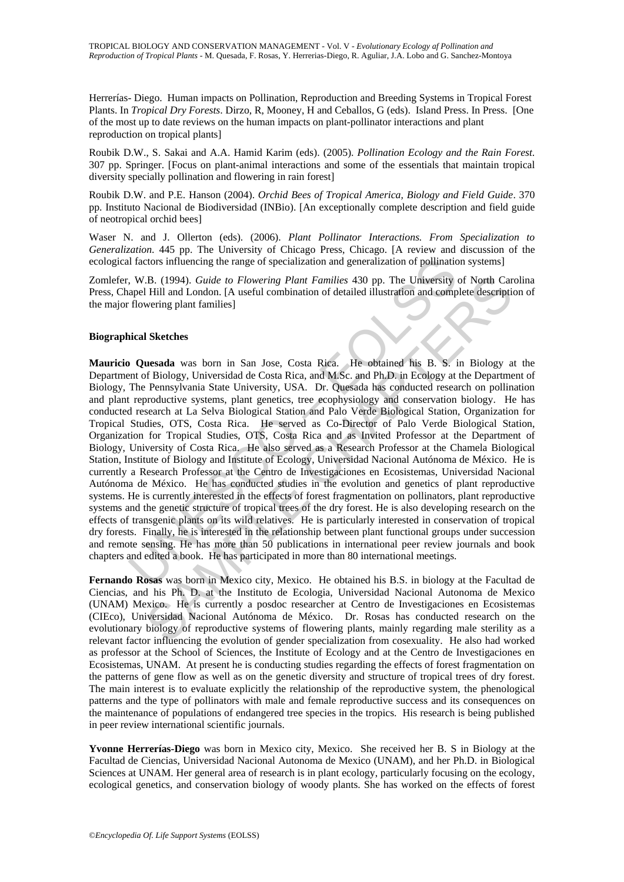Herrerías- Diego. Human impacts on Pollination, Reproduction and Breeding Systems in Tropical Forest Plants. In *Tropical Dry Forests*. Dirzo, R, Mooney, H and Ceballos, G (eds). Island Press. In Press. [One of the most up to date reviews on the human impacts on plant-pollinator interactions and plant reproduction on tropical plants]

Roubik D.W., S. Sakai and A.A. Hamid Karim (eds). (2005). *Pollination Ecology and the Rain Forest*. 307 pp. Springer. [Focus on plant-animal interactions and some of the essentials that maintain tropical diversity specially pollination and flowering in rain forest]

Roubik D.W. and P.E. Hanson (2004). *Orchid Bees of Tropical America, Biology and Field Guide*. 370 pp. Instituto Nacional de Biodiversidad (INBio). [An exceptionally complete description and field guide of neotropical orchid bees]

Waser N. and J. Ollerton (eds). (2006). *Plant Pollinator Interactions. From Specialization to Generalization*. 445 pp. The University of Chicago Press, Chicago. [A review and discussion of the ecological factors influencing the range of specialization and generalization of pollination systems]

Zomlefer, W.B. (1994). *Guide to Flowering Plant Families* 430 pp. The University of North Carolina Press, Chapel Hill and London. [A useful combination of detailed illustration and complete description of the major flowering plant families]

#### **Biographical Sketches**

Il factors influencing the range of specialization and generalization of pollinatic, W.B. (1994). *Guide to Flowering Plant Families* 430 pp. The University apel Hill and London. [A useful combination of detailed illustrat The UBA). *Guide to Flowering Plant Families* 430 pp. The University of North Car-<br>Hill and London. [A useful combination of detailed illustration and complete description<br>wering plant families)<br>
Sketches<br>
usesda was born **Mauricio Quesada** was born in San Jose, Costa Rica. He obtained his B. S. in Biology at the Department of Biology, Universidad de Costa Rica, and M.Sc. and Ph.D. in Ecology at the Department of Biology, The Pennsylvania State University, USA. Dr. Quesada has conducted research on pollination and plant reproductive systems, plant genetics, tree ecophysiology and conservation biology. He has conducted research at La Selva Biological Station and Palo Verde Biological Station, Organization for Tropical Studies, OTS, Costa Rica. He served as Co-Director of Palo Verde Biological Station, Organization for Tropical Studies, OTS, Costa Rica and as Invited Professor at the Department of Biology, University of Costa Rica. He also served as a Research Professor at the Chamela Biological Station, Institute of Biology and Institute of Ecology, Universidad Nacional Autónoma de México. He is currently a Research Professor at the Centro de Investigaciones en Ecosistemas, Universidad Nacional Autónoma de México. He has conducted studies in the evolution and genetics of plant reproductive systems. He is currently interested in the effects of forest fragmentation on pollinators, plant reproductive systems and the genetic structure of tropical trees of the dry forest. He is also developing research on the effects of transgenic plants on its wild relatives. He is particularly interested in conservation of tropical dry forests. Finally, he is interested in the relationship between plant functional groups under succession and remote sensing. He has more than 50 publications in international peer review journals and book chapters and edited a book. He has participated in more than 80 international meetings.

**Fernando Rosas** was born in Mexico city, Mexico. He obtained his B.S. in biology at the Facultad de Ciencias, and his Ph. D. at the Instituto de Ecologia, Universidad Nacional Autonoma de Mexico (UNAM) Mexico. He is currently a posdoc researcher at Centro de Investigaciones en Ecosistemas (CIEco), Universidad Nacional Autónoma de México. Dr. Rosas has conducted research on the evolutionary biology of reproductive systems of flowering plants, mainly regarding male sterility as a relevant factor influencing the evolution of gender specialization from cosexuality. He also had worked as professor at the School of Sciences, the Institute of Ecology and at the Centro de Investigaciones en Ecosistemas, UNAM. At present he is conducting studies regarding the effects of forest fragmentation on the patterns of gene flow as well as on the genetic diversity and structure of tropical trees of dry forest. The main interest is to evaluate explicitly the relationship of the reproductive system, the phenological patterns and the type of pollinators with male and female reproductive success and its consequences on the maintenance of populations of endangered tree species in the tropics. His research is being published in peer review international scientific journals.

**Yvonne Herrerías-Diego** was born in Mexico city, Mexico. She received her B. S in Biology at the Facultad de Ciencias, Universidad Nacional Autonoma de Mexico (UNAM), and her Ph.D. in Biological Sciences at UNAM. Her general area of research is in plant ecology, particularly focusing on the ecology, ecological genetics, and conservation biology of woody plants. She has worked on the effects of forest